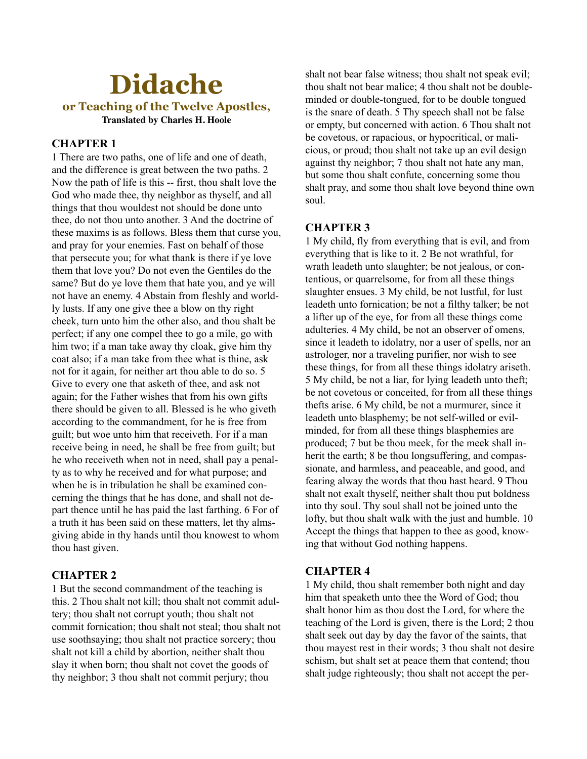# **Didache or Teaching of the Twelve Apostles, Translated by Charles H. Hoole**

# **CHAPTER 1**

1 There are two paths, one of life and one of death, and the difference is great between the two paths. 2 Now the path of life is this -- first, thou shalt love the God who made thee, thy neighbor as thyself, and all things that thou wouldest not should be done unto thee, do not thou unto another. 3 And the doctrine of these maxims is as follows. Bless them that curse you, and pray for your enemies. Fast on behalf of those that persecute you; for what thank is there if ye love them that love you? Do not even the Gentiles do the same? But do ye love them that hate you, and ye will not have an enemy. 4 Abstain from fleshly and worldly lusts. If any one give thee a blow on thy right cheek, turn unto him the other also, and thou shalt be perfect; if any one compel thee to go a mile, go with him two; if a man take away thy cloak, give him thy coat also; if a man take from thee what is thine, ask not for it again, for neither art thou able to do so. 5 Give to every one that asketh of thee, and ask not again; for the Father wishes that from his own gifts there should be given to all. Blessed is he who giveth according to the commandment, for he is free from guilt; but woe unto him that receiveth. For if a man receive being in need, he shall be free from guilt; but he who receiveth when not in need, shall pay a penalty as to why he received and for what purpose; and when he is in tribulation he shall be examined concerning the things that he has done, and shall not depart thence until he has paid the last farthing. 6 For of a truth it has been said on these matters, let thy almsgiving abide in thy hands until thou knowest to whom thou hast given.

# **CHAPTER 2**

1 But the second commandment of the teaching is this. 2 Thou shalt not kill; thou shalt not commit adultery; thou shalt not corrupt youth; thou shalt not commit fornication; thou shalt not steal; thou shalt not use soothsaying; thou shalt not practice sorcery; thou shalt not kill a child by abortion, neither shalt thou slay it when born; thou shalt not covet the goods of thy neighbor; 3 thou shalt not commit perjury; thou

shalt not bear false witness; thou shalt not speak evil; thou shalt not bear malice; 4 thou shalt not be doubleminded or double-tongued, for to be double tongued is the snare of death. 5 Thy speech shall not be false or empty, but concerned with action. 6 Thou shalt not be covetous, or rapacious, or hypocritical, or malicious, or proud; thou shalt not take up an evil design against thy neighbor; 7 thou shalt not hate any man, but some thou shalt confute, concerning some thou shalt pray, and some thou shalt love beyond thine own soul.

## **CHAPTER 3**

1 My child, fly from everything that is evil, and from everything that is like to it. 2 Be not wrathful, for wrath leadeth unto slaughter; be not jealous, or contentious, or quarrelsome, for from all these things slaughter ensues. 3 My child, be not lustful, for lust leadeth unto fornication; be not a filthy talker; be not a lifter up of the eye, for from all these things come adulteries. 4 My child, be not an observer of omens, since it leadeth to idolatry, nor a user of spells, nor an astrologer, nor a traveling purifier, nor wish to see these things, for from all these things idolatry ariseth. 5 My child, be not a liar, for lying leadeth unto theft; be not covetous or conceited, for from all these things thefts arise. 6 My child, be not a murmurer, since it leadeth unto blasphemy; be not self-willed or evilminded, for from all these things blasphemies are produced; 7 but be thou meek, for the meek shall inherit the earth; 8 be thou longsuffering, and compassionate, and harmless, and peaceable, and good, and fearing alway the words that thou hast heard. 9 Thou shalt not exalt thyself, neither shalt thou put boldness into thy soul. Thy soul shall not be joined unto the lofty, but thou shalt walk with the just and humble. 10 Accept the things that happen to thee as good, knowing that without God nothing happens.

#### **CHAPTER 4**

1 My child, thou shalt remember both night and day him that speaketh unto thee the Word of God; thou shalt honor him as thou dost the Lord, for where the teaching of the Lord is given, there is the Lord; 2 thou shalt seek out day by day the favor of the saints, that thou mayest rest in their words; 3 thou shalt not desire schism, but shalt set at peace them that contend; thou shalt judge righteously; thou shalt not accept the per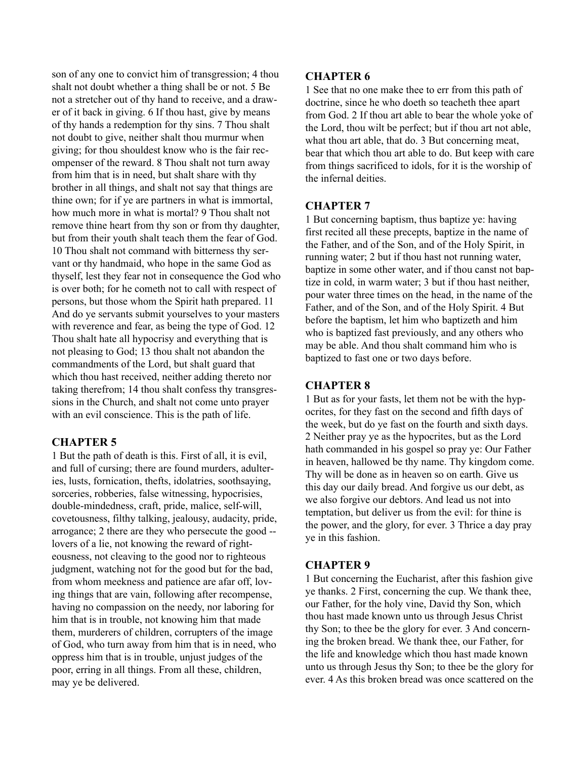son of any one to convict him of transgression; 4 thou shalt not doubt whether a thing shall be or not. 5 Be not a stretcher out of thy hand to receive, and a drawer of it back in giving. 6 If thou hast, give by means of thy hands a redemption for thy sins. 7 Thou shalt not doubt to give, neither shalt thou murmur when giving; for thou shouldest know who is the fair recompenser of the reward. 8 Thou shalt not turn away from him that is in need, but shalt share with thy brother in all things, and shalt not say that things are thine own; for if ye are partners in what is immortal, how much more in what is mortal? 9 Thou shalt not remove thine heart from thy son or from thy daughter, but from their youth shalt teach them the fear of God. 10 Thou shalt not command with bitterness thy servant or thy handmaid, who hope in the same God as thyself, lest they fear not in consequence the God who is over both; for he cometh not to call with respect of persons, but those whom the Spirit hath prepared. 11 And do ye servants submit yourselves to your masters with reverence and fear, as being the type of God. 12 Thou shalt hate all hypocrisy and everything that is not pleasing to God; 13 thou shalt not abandon the commandments of the Lord, but shalt guard that which thou hast received, neither adding thereto nor taking therefrom; 14 thou shalt confess thy transgressions in the Church, and shalt not come unto prayer with an evil conscience. This is the path of life.

# **CHAPTER 5**

1 But the path of death is this. First of all, it is evil, and full of cursing; there are found murders, adulteries, lusts, fornication, thefts, idolatries, soothsaying, sorceries, robberies, false witnessing, hypocrisies, double-mindedness, craft, pride, malice, self-will, covetousness, filthy talking, jealousy, audacity, pride, arrogance; 2 there are they who persecute the good - lovers of a lie, not knowing the reward of righteousness, not cleaving to the good nor to righteous judgment, watching not for the good but for the bad, from whom meekness and patience are afar off, loving things that are vain, following after recompense, having no compassion on the needy, nor laboring for him that is in trouble, not knowing him that made them, murderers of children, corrupters of the image of God, who turn away from him that is in need, who oppress him that is in trouble, unjust judges of the poor, erring in all things. From all these, children, may ye be delivered.

## **CHAPTER 6**

1 See that no one make thee to err from this path of doctrine, since he who doeth so teacheth thee apart from God. 2 If thou art able to bear the whole yoke of the Lord, thou wilt be perfect; but if thou art not able, what thou art able, that do. 3 But concerning meat, bear that which thou art able to do. But keep with care from things sacrificed to idols, for it is the worship of the infernal deities.

## **CHAPTER 7**

1 But concerning baptism, thus baptize ye: having first recited all these precepts, baptize in the name of the Father, and of the Son, and of the Holy Spirit, in running water; 2 but if thou hast not running water, baptize in some other water, and if thou canst not baptize in cold, in warm water; 3 but if thou hast neither, pour water three times on the head, in the name of the Father, and of the Son, and of the Holy Spirit. 4 But before the baptism, let him who baptizeth and him who is baptized fast previously, and any others who may be able. And thou shalt command him who is baptized to fast one or two days before.

## **CHAPTER 8**

1 But as for your fasts, let them not be with the hypocrites, for they fast on the second and fifth days of the week, but do ye fast on the fourth and sixth days. 2 Neither pray ye as the hypocrites, but as the Lord hath commanded in his gospel so pray ye: Our Father in heaven, hallowed be thy name. Thy kingdom come. Thy will be done as in heaven so on earth. Give us this day our daily bread. And forgive us our debt, as we also forgive our debtors. And lead us not into temptation, but deliver us from the evil: for thine is the power, and the glory, for ever. 3 Thrice a day pray ye in this fashion.

# **CHAPTER 9**

1 But concerning the Eucharist, after this fashion give ye thanks. 2 First, concerning the cup. We thank thee, our Father, for the holy vine, David thy Son, which thou hast made known unto us through Jesus Christ thy Son; to thee be the glory for ever. 3 And concerning the broken bread. We thank thee, our Father, for the life and knowledge which thou hast made known unto us through Jesus thy Son; to thee be the glory for ever. 4 As this broken bread was once scattered on the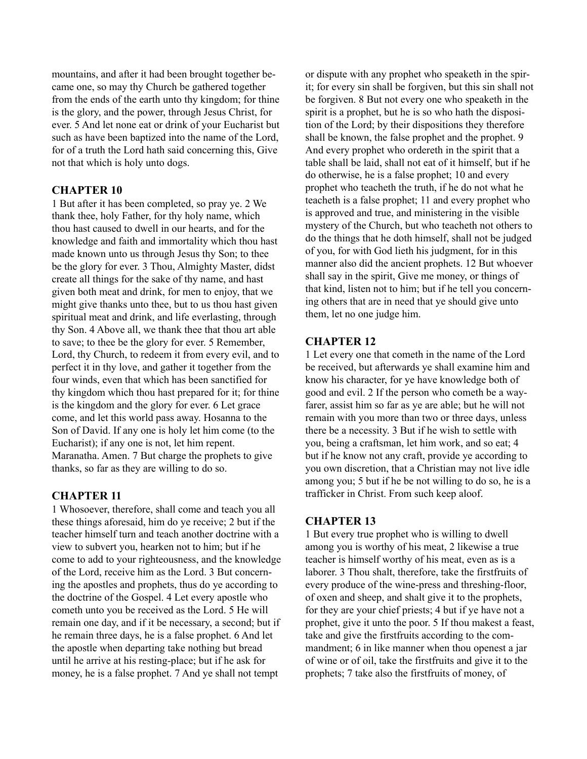mountains, and after it had been brought together became one, so may thy Church be gathered together from the ends of the earth unto thy kingdom; for thine is the glory, and the power, through Jesus Christ, for ever. 5 And let none eat or drink of your Eucharist but such as have been baptized into the name of the Lord, for of a truth the Lord hath said concerning this, Give not that which is holy unto dogs.

## **CHAPTER 10**

1 But after it has been completed, so pray ye. 2 We thank thee, holy Father, for thy holy name, which thou hast caused to dwell in our hearts, and for the knowledge and faith and immortality which thou hast made known unto us through Jesus thy Son; to thee be the glory for ever. 3 Thou, Almighty Master, didst create all things for the sake of thy name, and hast given both meat and drink, for men to enjoy, that we might give thanks unto thee, but to us thou hast given spiritual meat and drink, and life everlasting, through thy Son. 4 Above all, we thank thee that thou art able to save; to thee be the glory for ever. 5 Remember, Lord, thy Church, to redeem it from every evil, and to perfect it in thy love, and gather it together from the four winds, even that which has been sanctified for thy kingdom which thou hast prepared for it; for thine is the kingdom and the glory for ever. 6 Let grace come, and let this world pass away. Hosanna to the Son of David. If any one is holy let him come (to the Eucharist); if any one is not, let him repent. Maranatha. Amen. 7 But charge the prophets to give thanks, so far as they are willing to do so.

# **CHAPTER 11**

1 Whosoever, therefore, shall come and teach you all these things aforesaid, him do ye receive; 2 but if the teacher himself turn and teach another doctrine with a view to subvert you, hearken not to him; but if he come to add to your righteousness, and the knowledge of the Lord, receive him as the Lord. 3 But concerning the apostles and prophets, thus do ye according to the doctrine of the Gospel. 4 Let every apostle who cometh unto you be received as the Lord. 5 He will remain one day, and if it be necessary, a second; but if he remain three days, he is a false prophet. 6 And let the apostle when departing take nothing but bread until he arrive at his resting-place; but if he ask for money, he is a false prophet. 7 And ye shall not tempt

or dispute with any prophet who speaketh in the spirit; for every sin shall be forgiven, but this sin shall not be forgiven. 8 But not every one who speaketh in the spirit is a prophet, but he is so who hath the disposition of the Lord; by their dispositions they therefore shall be known, the false prophet and the prophet. 9 And every prophet who ordereth in the spirit that a table shall be laid, shall not eat of it himself, but if he do otherwise, he is a false prophet; 10 and every prophet who teacheth the truth, if he do not what he teacheth is a false prophet; 11 and every prophet who is approved and true, and ministering in the visible mystery of the Church, but who teacheth not others to do the things that he doth himself, shall not be judged of you, for with God lieth his judgment, for in this manner also did the ancient prophets. 12 But whoever shall say in the spirit, Give me money, or things of that kind, listen not to him; but if he tell you concerning others that are in need that ye should give unto them, let no one judge him.

#### **CHAPTER 12**

1 Let every one that cometh in the name of the Lord be received, but afterwards ye shall examine him and know his character, for ye have knowledge both of good and evil. 2 If the person who cometh be a wayfarer, assist him so far as ye are able; but he will not remain with you more than two or three days, unless there be a necessity. 3 But if he wish to settle with you, being a craftsman, let him work, and so eat; 4 but if he know not any craft, provide ye according to you own discretion, that a Christian may not live idle among you; 5 but if he be not willing to do so, he is a trafficker in Christ. From such keep aloof.

#### **CHAPTER 13**

1 But every true prophet who is willing to dwell among you is worthy of his meat, 2 likewise a true teacher is himself worthy of his meat, even as is a laborer. 3 Thou shalt, therefore, take the firstfruits of every produce of the wine-press and threshing-floor, of oxen and sheep, and shalt give it to the prophets, for they are your chief priests; 4 but if ye have not a prophet, give it unto the poor. 5 If thou makest a feast, take and give the firstfruits according to the commandment; 6 in like manner when thou openest a jar of wine or of oil, take the firstfruits and give it to the prophets; 7 take also the firstfruits of money, of